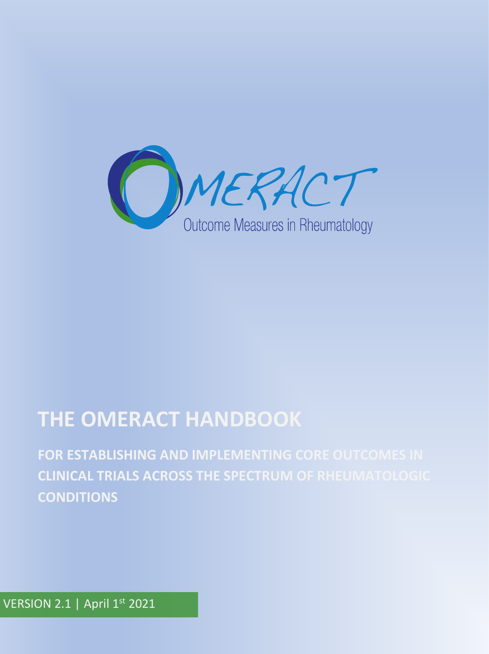

# **THE OMERACT HANDBOOK**

**FOR ESTABLISHING AND IMPLEMENTING CORE OUTCOMES IN CLINICAL TRIALS ACROSS THE SPECTRUM OF RHEUMATOLOGIC CONDITIONS**

VERSION 2.1 | April 1st 2021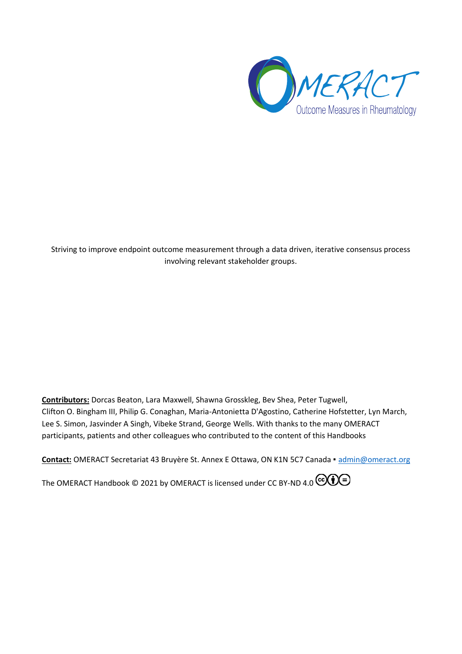

Striving to improve endpoint outcome measurement through a data driven, iterative consensus process involving relevant stakeholder groups.

**Contributors:** Dorcas Beaton, Lara Maxwell, Shawna Grosskleg, Bev Shea, Peter Tugwell, Clifton O. Bingham III, Philip G. Conaghan, Maria-Antonietta D'Agostino, Catherine Hofstetter, Lyn March, Lee S. Simon, Jasvinder A Singh, Vibeke Strand, George Wells. With thanks to the many OMERACT participants, patients and other colleagues who contributed to the content of this Handbooks

**Contact:** OMERACT Secretariat 43 Bruyère St. Annex E Ottawa, ON K1N 5C7 Canada ▪ [admin@omeract.org](mailto:admin@omeract.org)

[The OMERACT Handbook](https://omeracthandbook.org/)  $\circledcirc$  2021 by [OMERACT](https://omeract.org/) is licensed under [CC BY-ND 4.0](http://creativecommons.org/licenses/by-nd/4.0/?ref=chooser-v1)  $\circledcirc$   $\circledcirc$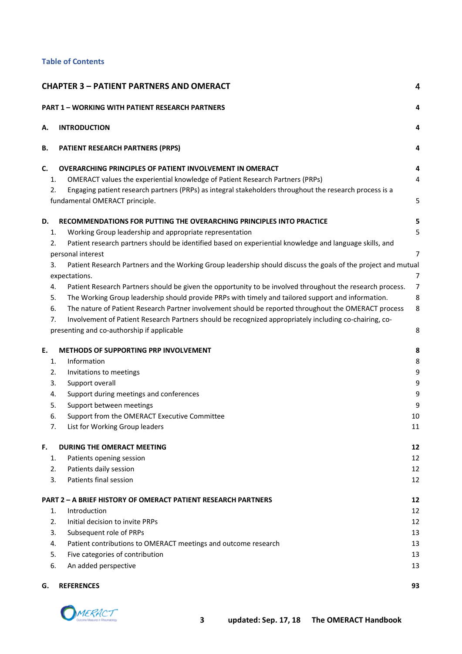#### **Table of Contents**

| <b>CHAPTER 3 - PATIENT PARTNERS AND OMERACT</b><br>4 |                                                                                                               |                |  |  |  |
|------------------------------------------------------|---------------------------------------------------------------------------------------------------------------|----------------|--|--|--|
|                                                      | <b>PART 1 - WORKING WITH PATIENT RESEARCH PARTNERS</b>                                                        | 4              |  |  |  |
| А.                                                   | <b>INTRODUCTION</b>                                                                                           | 4              |  |  |  |
| В.                                                   | PATIENT RESEARCH PARTNERS (PRPS)                                                                              | 4              |  |  |  |
| C.                                                   | <b>OVERARCHING PRINCIPLES OF PATIENT INVOLVEMENT IN OMERACT</b>                                               | 4              |  |  |  |
| 1.                                                   | OMERACT values the experiential knowledge of Patient Research Partners (PRPs)                                 | 4              |  |  |  |
| 2.                                                   | Engaging patient research partners (PRPs) as integral stakeholders throughout the research process is a       |                |  |  |  |
|                                                      | fundamental OMERACT principle.                                                                                | 5              |  |  |  |
| D.                                                   | RECOMMENDATIONS FOR PUTTING THE OVERARCHING PRINCIPLES INTO PRACTICE                                          | 5              |  |  |  |
| 1.                                                   | Working Group leadership and appropriate representation                                                       | 5              |  |  |  |
| 2.                                                   | Patient research partners should be identified based on experiential knowledge and language skills, and       |                |  |  |  |
|                                                      | personal interest                                                                                             | 7              |  |  |  |
| 3.                                                   | Patient Research Partners and the Working Group leadership should discuss the goals of the project and mutual |                |  |  |  |
|                                                      | expectations.                                                                                                 | $\overline{7}$ |  |  |  |
| 4.                                                   | Patient Research Partners should be given the opportunity to be involved throughout the research process.     | 7              |  |  |  |
| 5.                                                   | The Working Group leadership should provide PRPs with timely and tailored support and information.            | 8              |  |  |  |
| 6.                                                   | The nature of Patient Research Partner involvement should be reported throughout the OMERACT process          | 8              |  |  |  |
| 7.                                                   | Involvement of Patient Research Partners should be recognized appropriately including co-chairing, co-        |                |  |  |  |
|                                                      | presenting and co-authorship if applicable                                                                    | 8              |  |  |  |
| Ε.                                                   | METHODS OF SUPPORTING PRP INVOLVEMENT                                                                         | 8              |  |  |  |
| 1.                                                   | Information                                                                                                   | 8              |  |  |  |
| 2.                                                   | Invitations to meetings                                                                                       | 9              |  |  |  |
| 3.                                                   | Support overall                                                                                               | 9              |  |  |  |
| 4.                                                   | Support during meetings and conferences                                                                       | 9              |  |  |  |
| 5.                                                   | Support between meetings                                                                                      | 9              |  |  |  |
| 6.                                                   | Support from the OMERACT Executive Committee                                                                  | 10             |  |  |  |
| 7.                                                   | List for Working Group leaders                                                                                | 11             |  |  |  |
| F.                                                   | DURING THE OMERACT MEETING                                                                                    | 12             |  |  |  |
| 1.                                                   | Patients opening session                                                                                      | 12             |  |  |  |
| 2.                                                   | Patients daily session                                                                                        | 12             |  |  |  |
| 3.                                                   | Patients final session                                                                                        | 12             |  |  |  |
|                                                      | <b>PART 2 - A BRIEF HISTORY OF OMERACT PATIENT RESEARCH PARTNERS</b>                                          | 12             |  |  |  |
| 1.                                                   | Introduction                                                                                                  | 12             |  |  |  |
| 2.                                                   | Initial decision to invite PRPs                                                                               | 12             |  |  |  |
| 3.                                                   | Subsequent role of PRPs                                                                                       | 13             |  |  |  |
| 4.                                                   | Patient contributions to OMERACT meetings and outcome research                                                | 13             |  |  |  |
| 5.                                                   | Five categories of contribution                                                                               | 13             |  |  |  |
| 6.                                                   | An added perspective                                                                                          | 13             |  |  |  |
| G.                                                   | <b>REFERENCES</b>                                                                                             | 93             |  |  |  |

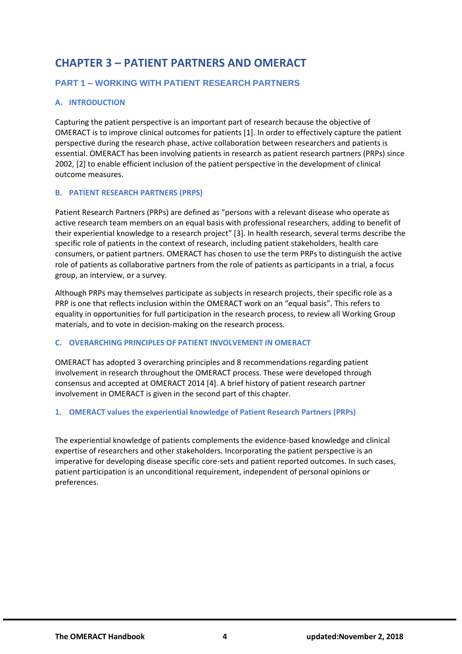# <span id="page-3-0"></span>**CHAPTER 3 – PATIENT PARTNERS AND OMERACT**

# <span id="page-3-1"></span>**PART 1 – WORKING WITH PATIENT RESEARCH PARTNERS**

# <span id="page-3-2"></span>**A. INTRODUCTION**

Capturing the patient perspective is an important part of research because the objective of OMERACT is to improve clinical outcomes for patients [1]. In order to effectively capture the patient perspective during the research phase, active collaboration between researchers and patients is essential. OMERACT has been involving patients in research as patient research partners (PRPs) since 2002, [2] to enable efficient inclusion of the patient perspective in the development of clinical outcome measures.

# <span id="page-3-3"></span>**B. PATIENT RESEARCH PARTNERS (PRPS)**

Patient Research Partners (PRPs) are defined as "persons with a relevant disease who operate as active research team members on an equal basis with professional researchers, adding to benefit of their experiential knowledge to a research project" [3]. In health research, several terms describe the specific role of patients in the context of research, including patient stakeholders, health care consumers, or patient partners. OMERACT has chosen to use the term PRPs to distinguish the active role of patients as collaborative partners from the role of patients as participants in a trial, a focus group, an interview, or a survey.

Although PRPs may themselves participate as subjects in research projects, their specific role as a PRP is one that reflects inclusion within the OMERACT work on an "equal basis". This refers to equality in opportunities for full participation in the research process, to review all Working Group materials, and to vote in decision-making on the research process.

# <span id="page-3-4"></span>**C. OVERARCHING PRINCIPLES OF PATIENT INVOLVEMENT IN OMERACT**

OMERACT has adopted 3 overarching principles and 8 recommendations regarding patient involvement in research throughout the OMERACT process. These were developed through consensus and accepted at OMERACT 2014 [4]. A brief history of patient research partner involvement in OMERACT is given in the second part of this chapter.

# <span id="page-3-5"></span>**1. OMERACT values the experiential knowledge of Patient Research Partners (PRPs)**

The experiential knowledge of patients complements the evidence-based knowledge and clinical expertise of researchers and other stakeholders. Incorporating the patient perspective is an imperative for developing disease specific core-sets and patient reported outcomes. In such cases, patient participation is an unconditional requirement, independent of personal opinions or preferences.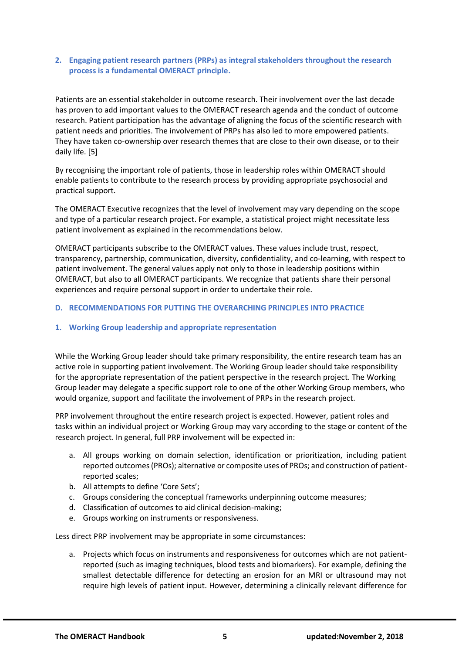#### <span id="page-4-0"></span>**2. Engaging patient research partners (PRPs) as integral stakeholders throughout the research process is a fundamental OMERACT principle.**

Patients are an essential stakeholder in outcome research. Their involvement over the last decade has proven to add important values to the OMERACT research agenda and the conduct of outcome research. Patient participation has the advantage of aligning the focus of the scientific research with patient needs and priorities. The involvement of PRPs has also led to more empowered patients. They have taken co-ownership over research themes that are close to their own disease, or to their daily life. [5]

By recognising the important role of patients, those in leadership roles within OMERACT should enable patients to contribute to the research process by providing appropriate psychosocial and practical support.

The OMERACT Executive recognizes that the level of involvement may vary depending on the scope and type of a particular research project. For example, a statistical project might necessitate less patient involvement as explained in the recommendations below.

OMERACT participants subscribe to the OMERACT values. These values include trust, respect, transparency, partnership, communication, diversity, confidentiality, and co-learning, with respect to patient involvement. The general values apply not only to those in leadership positions within OMERACT, but also to all OMERACT participants. We recognize that patients share their personal experiences and require personal support in order to undertake their role.

#### <span id="page-4-1"></span>**D. RECOMMENDATIONS FOR PUTTING THE OVERARCHING PRINCIPLES INTO PRACTICE**

#### <span id="page-4-2"></span>**1. Working Group leadership and appropriate representation**

While the Working Group leader should take primary responsibility, the entire research team has an active role in supporting patient involvement. The Working Group leader should take responsibility for the appropriate representation of the patient perspective in the research project. The Working Group leader may delegate a specific support role to one of the other Working Group members, who would organize, support and facilitate the involvement of PRPs in the research project.

PRP involvement throughout the entire research project is expected. However, patient roles and tasks within an individual project or Working Group may vary according to the stage or content of the research project. In general, full PRP involvement will be expected in:

- a. All groups working on domain selection, identification or prioritization, including patient reported outcomes (PROs); alternative or composite uses of PROs; and construction of patientreported scales;
- b. All attempts to define 'Core Sets';
- c. Groups considering the conceptual frameworks underpinning outcome measures;
- d. Classification of outcomes to aid clinical decision-making;
- e. Groups working on instruments or responsiveness.

Less direct PRP involvement may be appropriate in some circumstances:

a. Projects which focus on instruments and responsiveness for outcomes which are not patientreported (such as imaging techniques, blood tests and biomarkers). For example, defining the smallest detectable difference for detecting an erosion for an MRI or ultrasound may not require high levels of patient input. However, determining a clinically relevant difference for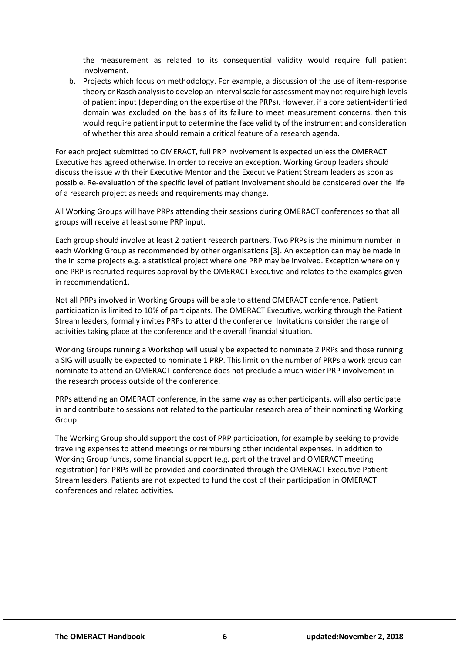the measurement as related to its consequential validity would require full patient involvement.

b. Projects which focus on methodology. For example, a discussion of the use of item-response theory or Rasch analysis to develop an interval scale for assessment may not require high levels of patient input (depending on the expertise of the PRPs). However, if a core patient-identified domain was excluded on the basis of its failure to meet measurement concerns, then this would require patient input to determine the face validity of the instrument and consideration of whether this area should remain a critical feature of a research agenda.

For each project submitted to OMERACT, full PRP involvement is expected unless the OMERACT Executive has agreed otherwise. In order to receive an exception, Working Group leaders should discuss the issue with their Executive Mentor and the Executive Patient Stream leaders as soon as possible. Re-evaluation of the specific level of patient involvement should be considered over the life of a research project as needs and requirements may change.

All Working Groups will have PRPs attending their sessions during OMERACT conferences so that all groups will receive at least some PRP input.

Each group should involve at least 2 patient research partners. Two PRPs is the minimum number in each Working Group as recommended by other organisations [3]. An exception can may be made in the in some projects e.g. a statistical project where one PRP may be involved. Exception where only one PRP is recruited requires approval by the OMERACT Executive and relates to the examples given in recommendation1.

Not all PRPs involved in Working Groups will be able to attend OMERACT conference. Patient participation is limited to 10% of participants. The OMERACT Executive, working through the Patient Stream leaders, formally invites PRPs to attend the conference. Invitations consider the range of activities taking place at the conference and the overall financial situation.

Working Groups running a Workshop will usually be expected to nominate 2 PRPs and those running a SIG will usually be expected to nominate 1 PRP. This limit on the number of PRPs a work group can nominate to attend an OMERACT conference does not preclude a much wider PRP involvement in the research process outside of the conference.

PRPs attending an OMERACT conference, in the same way as other participants, will also participate in and contribute to sessions not related to the particular research area of their nominating Working Group.

The Working Group should support the cost of PRP participation, for example by seeking to provide traveling expenses to attend meetings or reimbursing other incidental expenses. In addition to Working Group funds, some financial support (e.g. part of the travel and OMERACT meeting registration) for PRPs will be provided and coordinated through the OMERACT Executive Patient Stream leaders. Patients are not expected to fund the cost of their participation in OMERACT conferences and related activities.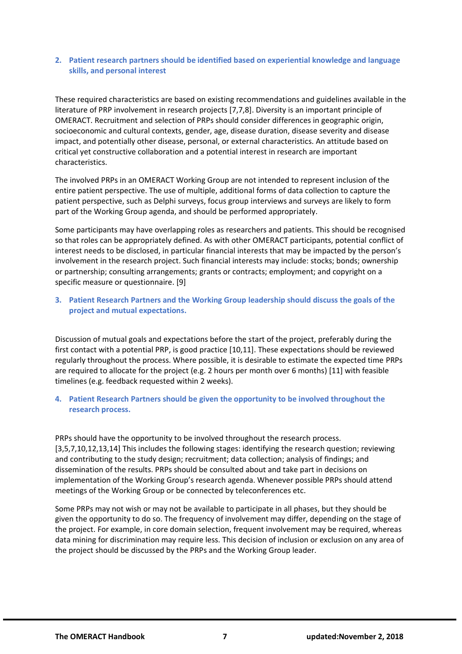#### <span id="page-6-0"></span>**2. Patient research partners should be identified based on experiential knowledge and language skills, and personal interest**

These required characteristics are based on existing recommendations and guidelines available in the literature of PRP involvement in research projects [7,7,8]. Diversity is an important principle of OMERACT. Recruitment and selection of PRPs should consider differences in geographic origin, socioeconomic and cultural contexts, gender, age, disease duration, disease severity and disease impact, and potentially other disease, personal, or external characteristics. An attitude based on critical yet constructive collaboration and a potential interest in research are important characteristics.

The involved PRPs in an OMERACT Working Group are not intended to represent inclusion of the entire patient perspective. The use of multiple, additional forms of data collection to capture the patient perspective, such as Delphi surveys, focus group interviews and surveys are likely to form part of the Working Group agenda, and should be performed appropriately.

Some participants may have overlapping roles as researchers and patients. This should be recognised so that roles can be appropriately defined. As with other OMERACT participants, potential conflict of interest needs to be disclosed, in particular financial interests that may be impacted by the person's involvement in the research project. Such financial interests may include: stocks; bonds; ownership or partnership; consulting arrangements; grants or contracts; employment; and copyright on a specific measure or questionnaire. [9]

# <span id="page-6-1"></span>**3. Patient Research Partners and the Working Group leadership should discuss the goals of the project and mutual expectations.**

Discussion of mutual goals and expectations before the start of the project, preferably during the first contact with a potential PRP, is good practice [10,11]. These expectations should be reviewed regularly throughout the process. Where possible, it is desirable to estimate the expected time PRPs are required to allocate for the project (e.g. 2 hours per month over 6 months) [11] with feasible timelines (e.g. feedback requested within 2 weeks).

# <span id="page-6-2"></span>**4. Patient Research Partners should be given the opportunity to be involved throughout the research process.**

PRPs should have the opportunity to be involved throughout the research process. [3,5,7,10,12,13,14] This includes the following stages: identifying the research question; reviewing and contributing to the study design; recruitment; data collection; analysis of findings; and dissemination of the results. PRPs should be consulted about and take part in decisions on implementation of the Working Group's research agenda. Whenever possible PRPs should attend meetings of the Working Group or be connected by teleconferences etc.

Some PRPs may not wish or may not be available to participate in all phases, but they should be given the opportunity to do so. The frequency of involvement may differ, depending on the stage of the project. For example, in core domain selection, frequent involvement may be required, whereas data mining for discrimination may require less. This decision of inclusion or exclusion on any area of the project should be discussed by the PRPs and the Working Group leader.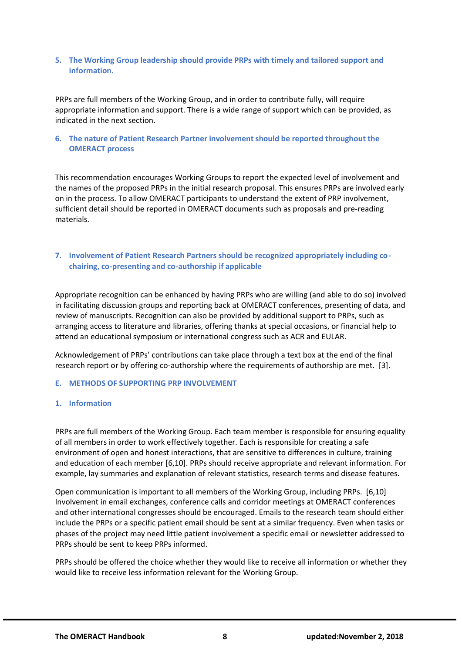#### <span id="page-7-0"></span>**5. The Working Group leadership should provide PRPs with timely and tailored support and information.**

PRPs are full members of the Working Group, and in order to contribute fully, will require appropriate information and support. There is a wide range of support which can be provided, as indicated in the next section.

#### <span id="page-7-1"></span>**6. The nature of Patient Research Partner involvement should be reported throughout the OMERACT process**

This recommendation encourages Working Groups to report the expected level of involvement and the names of the proposed PRPs in the initial research proposal. This ensures PRPs are involved early on in the process. To allow OMERACT participants to understand the extent of PRP involvement, sufficient detail should be reported in OMERACT documents such as proposals and pre-reading materials.

# <span id="page-7-2"></span>**7. Involvement of Patient Research Partners should be recognized appropriately including cochairing, co-presenting and co-authorship if applicable**

Appropriate recognition can be enhanced by having PRPs who are willing (and able to do so) involved in facilitating discussion groups and reporting back at OMERACT conferences, presenting of data, and review of manuscripts. Recognition can also be provided by additional support to PRPs, such as arranging access to literature and libraries, offering thanks at special occasions, or financial help to attend an educational symposium or international congress such as ACR and EULAR.

Acknowledgement of PRPs' contributions can take place through a text box at the end of the final research report or by offering co-authorship where the requirements of authorship are met. [3].

#### <span id="page-7-3"></span>**E. METHODS OF SUPPORTING PRP INVOLVEMENT**

#### <span id="page-7-4"></span>**1. Information**

PRPs are full members of the Working Group. Each team member is responsible for ensuring equality of all members in order to work effectively together. Each is responsible for creating a safe environment of open and honest interactions, that are sensitive to differences in culture, training and education of each member [6,10]. PRPs should receive appropriate and relevant information. For example, lay summaries and explanation of relevant statistics, research terms and disease features.

Open communication is important to all members of the Working Group, including PRPs. [6,10] Involvement in email exchanges, conference calls and corridor meetings at OMERACT conferences and other international congresses should be encouraged. Emails to the research team should either include the PRPs or a specific patient email should be sent at a similar frequency. Even when tasks or phases of the project may need little patient involvement a specific email or newsletter addressed to PRPs should be sent to keep PRPs informed.

PRPs should be offered the choice whether they would like to receive all information or whether they would like to receive less information relevant for the Working Group.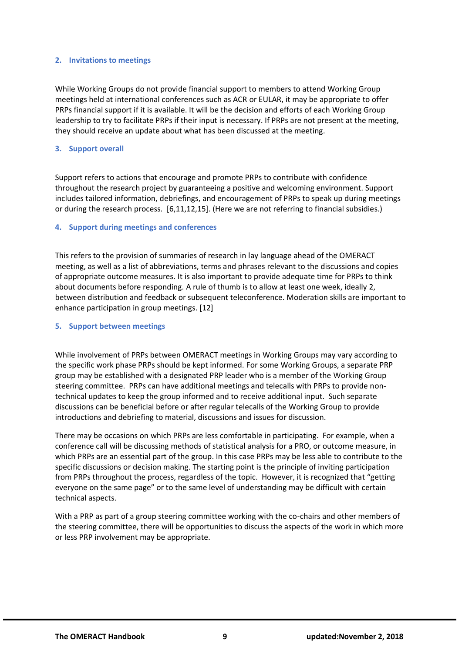#### <span id="page-8-0"></span>**2. Invitations to meetings**

While Working Groups do not provide financial support to members to attend Working Group meetings held at international conferences such as ACR or EULAR, it may be appropriate to offer PRPs financial support if it is available. It will be the decision and efforts of each Working Group leadership to try to facilitate PRPs if their input is necessary. If PRPs are not present at the meeting, they should receive an update about what has been discussed at the meeting.

#### <span id="page-8-1"></span>**3. Support overall**

Support refers to actions that encourage and promote PRPs to contribute with confidence throughout the research project by guaranteeing a positive and welcoming environment. Support includes tailored information, debriefings, and encouragement of PRPs to speak up during meetings or during the research process. [6,11,12,15]. (Here we are not referring to financial subsidies.)

#### <span id="page-8-2"></span>**4. Support during meetings and conferences**

This refers to the provision of summaries of research in lay language ahead of the OMERACT meeting, as well as a list of abbreviations, terms and phrases relevant to the discussions and copies of appropriate outcome measures. It is also important to provide adequate time for PRPs to think about documents before responding. A rule of thumb is to allow at least one week, ideally 2, between distribution and feedback or subsequent teleconference. Moderation skills are important to enhance participation in group meetings. [12]

#### <span id="page-8-3"></span>**5. Support between meetings**

While involvement of PRPs between OMERACT meetings in Working Groups may vary according to the specific work phase PRPs should be kept informed. For some Working Groups, a separate PRP group may be established with a designated PRP leader who is a member of the Working Group steering committee. PRPs can have additional meetings and telecalls with PRPs to provide nontechnical updates to keep the group informed and to receive additional input. Such separate discussions can be beneficial before or after regular telecalls of the Working Group to provide introductions and debriefing to material, discussions and issues for discussion.

There may be occasions on which PRPs are less comfortable in participating. For example, when a conference call will be discussing methods of statistical analysis for a PRO, or outcome measure, in which PRPs are an essential part of the group. In this case PRPs may be less able to contribute to the specific discussions or decision making. The starting point is the principle of inviting participation from PRPs throughout the process, regardless of the topic. However, it is recognized that "getting everyone on the same page" or to the same level of understanding may be difficult with certain technical aspects.

With a PRP as part of a group steering committee working with the co-chairs and other members of the steering committee, there will be opportunities to discuss the aspects of the work in which more or less PRP involvement may be appropriate.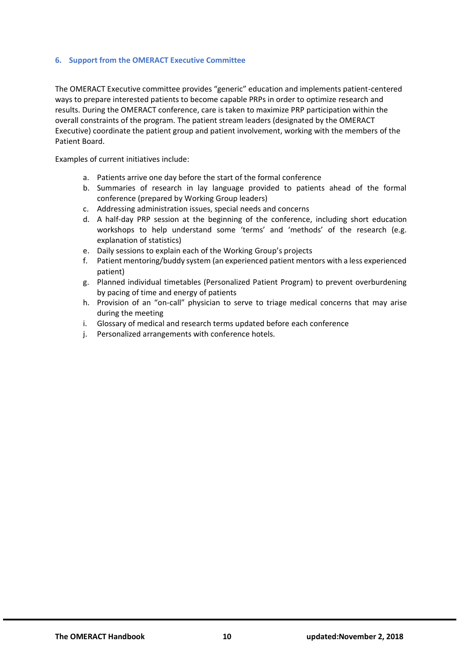#### <span id="page-9-0"></span>**6. Support from the OMERACT Executive Committee**

The OMERACT Executive committee provides "generic" education and implements patient-centered ways to prepare interested patients to become capable PRPs in order to optimize research and results. During the OMERACT conference, care is taken to maximize PRP participation within the overall constraints of the program. The patient stream leaders (designated by the OMERACT Executive) coordinate the patient group and patient involvement, working with the members of the Patient Board.

Examples of current initiatives include:

- a. Patients arrive one day before the start of the formal conference
- b. Summaries of research in lay language provided to patients ahead of the formal conference (prepared by Working Group leaders)
- c. Addressing administration issues, special needs and concerns
- d. A half-day PRP session at the beginning of the conference, including short education workshops to help understand some 'terms' and 'methods' of the research (e.g. explanation of statistics)
- e. Daily sessions to explain each of the Working Group's projects
- f. Patient mentoring/buddy system (an experienced patient mentors with a less experienced patient)
- g. Planned individual timetables (Personalized Patient Program) to prevent overburdening by pacing of time and energy of patients
- h. Provision of an "on-call" physician to serve to triage medical concerns that may arise during the meeting
- i. Glossary of medical and research terms updated before each conference
- j. Personalized arrangements with conference hotels.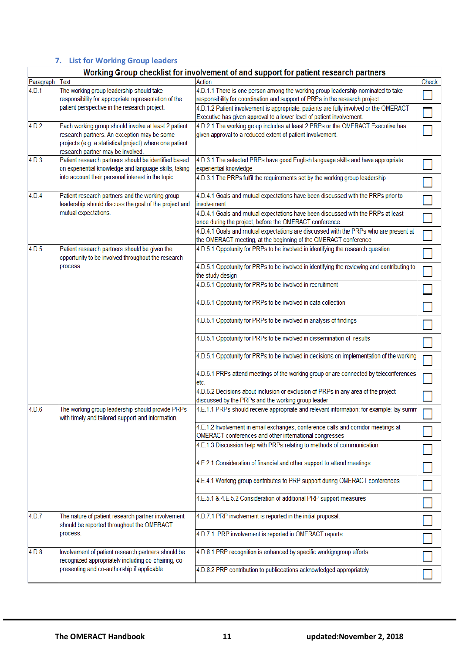# <span id="page-10-0"></span>**7. List for Working Group leaders**

# Working Group checklist for involvement of and support for patient research partners

|           |                                                         | married with a checking for involvement of and support for patient research partners        |       |
|-----------|---------------------------------------------------------|---------------------------------------------------------------------------------------------|-------|
| Paragraph | Text                                                    | Action                                                                                      | Check |
| 4.D.1     | The working group leadership should take                | 4.D.1.1 There is one person among the working group leadership nominated to take            |       |
|           | responsibility for appropriate representation of the    | responsibility for coordination and support of PRPs in the research project.                |       |
|           | patient perspective in the research project.            |                                                                                             |       |
|           |                                                         | 4.D.1.2 Patient involvement is appropriate: patients are fully involved or the OMERACT      |       |
|           |                                                         | Executive has given approval to a lower level of patient involvement.                       |       |
| 4.D.2     | Each working group should involve at least 2 patient    | 4.D.2.1 The working group includes at least 2 PRPs or the OMERACT Executive has             |       |
|           | research partners. An exception may be some             | given approval to a reduced extent of patient involvement.                                  |       |
|           | projects (e.g. a statistical project) where one patient |                                                                                             |       |
|           | research partner may be involved.                       |                                                                                             |       |
| 4.D.3     | Patient research partners should be identified based    | 4.D.3.1 The selected PRPs have good English language skills and have appropriate            |       |
|           | on experiential knowledge and language skills, taking   | experiential knowledge                                                                      |       |
|           |                                                         |                                                                                             |       |
|           | into account their personal interest in the topic.      | 4.D.3.1 The PRPs fulfil the requirements set by the working group leadership                |       |
|           |                                                         |                                                                                             |       |
| 4.D.4     | Patient research partners and the working group         | 4.D.4.1 Goals and mutual expectations have been discussed with the PRPs prior to            |       |
|           | leadership should discuss the goal of the project and   | involvement.                                                                                |       |
|           | mutual expectations.                                    | 4.D.4.1 Goals and mutual expectations have been discussed with the PRPs at least            |       |
|           |                                                         | once during the project, before the OMERACT conference.                                     |       |
|           |                                                         | 4.D.4.1 Goals and mutual expectations are discussed with the PRPs who are present at        |       |
|           |                                                         | the OMERACT meeting, at the beginning of the OMERACT conference.                            |       |
|           |                                                         |                                                                                             |       |
| 4.D.5     | Patient research partners should be given the           | 4.D.5.1 Oppotunity for PRPs to be involved in identifying the research question             |       |
|           | opportunity to be involved throughout the research      |                                                                                             |       |
|           | process.                                                | 4.D.5.1 Oppotunity for PRPs to be involved in identifying the reviewing and contributing to |       |
|           |                                                         | the study design                                                                            |       |
|           |                                                         | 4.D.5.1 Oppotunity for PRPs to be involved in recruitment                                   |       |
|           |                                                         |                                                                                             |       |
|           |                                                         | 4.D.5.1 Oppotunity for PRPs to be involved in data collection                               |       |
|           |                                                         |                                                                                             |       |
|           |                                                         |                                                                                             |       |
|           |                                                         | 4.D.5.1 Oppotunity for PRPs to be involved in analysis of findings                          |       |
|           |                                                         |                                                                                             |       |
|           |                                                         | 4.D.5.1 Oppotunity for PRPs to be involved in dissemination of results                      |       |
|           |                                                         |                                                                                             |       |
|           |                                                         | 4.D.5.1 Oppotunity for PRPs to be involved in decisions on implementation of the working    |       |
|           |                                                         |                                                                                             |       |
|           |                                                         | 4.D.5.1 PRPs attend meetings of the working group or are connected by teleconferences       |       |
|           |                                                         |                                                                                             |       |
|           |                                                         | etc.                                                                                        |       |
|           |                                                         | 4.D.5.2 Decisions about inclusion or exclusion of PRPs in any area of the project           |       |
|           |                                                         | discussed by the PRPs and the working group leader                                          |       |
| 4.D.6     | The working group leadership should provide PRPs        | 4.E.1.1 PRPs should receive appropriate and relevant information: for example: lay summ     |       |
|           | with timely and tailored support and information.       |                                                                                             |       |
|           |                                                         | 4.E.1.2 Involvement in email exchanges, conference calls and corridor meetings at           |       |
|           |                                                         | OMERACT conferences and other international congresses                                      |       |
|           |                                                         | 4.E.1.3 Discussion help with PRPs relating to methods of communication                      |       |
|           |                                                         |                                                                                             |       |
|           |                                                         |                                                                                             |       |
|           |                                                         | 4.E.2.1 Consideration of financial and other support to attend meetings                     |       |
|           |                                                         |                                                                                             |       |
|           |                                                         | 4.E.4.1 Working group contributes to PRP support during OMERACT conferences                 |       |
|           |                                                         |                                                                                             |       |
|           |                                                         | 4.E.5.1 & 4.E.5.2 Consideration of additional PRP support measures                          |       |
|           |                                                         |                                                                                             |       |
| 4.D.7     | The nature of patient research partner involvement      | 4.D.7.1 PRP involvement is reported in the initial proposal.                                |       |
|           |                                                         |                                                                                             |       |
|           | should be reported throughout the OMERACT               |                                                                                             |       |
|           | process.                                                | 4.D.7.1 PRP involvement is reported in OMERACT reports.                                     |       |
|           |                                                         |                                                                                             |       |
| 4.D.8     | Involvement of patient research partners should be      | 4.D.8.1 PRP recognition is enhanced by specific workigngroup efforts                        |       |
|           | recognized appropriately including co-chairing, co-     |                                                                                             |       |
|           | presenting and co-authorship if applicable.             | 4.D.8.2 PRP contribution to publiccations acknowledged appropriately                        |       |
|           |                                                         |                                                                                             |       |
|           |                                                         |                                                                                             |       |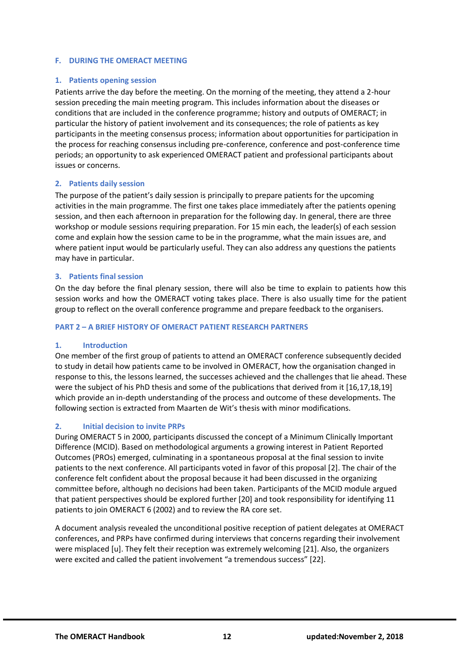#### <span id="page-11-0"></span>**F. DURING THE OMERACT MEETING**

#### <span id="page-11-1"></span>**1. Patients opening session**

Patients arrive the day before the meeting. On the morning of the meeting, they attend a 2-hour session preceding the main meeting program. This includes information about the diseases or conditions that are included in the conference programme; history and outputs of OMERACT; in particular the history of patient involvement and its consequences; the role of patients as key participants in the meeting consensus process; information about opportunities for participation in the process for reaching consensus including pre-conference, conference and post-conference time periods; an opportunity to ask experienced OMERACT patient and professional participants about issues or concerns.

#### <span id="page-11-2"></span>**2. Patients daily session**

The purpose of the patient's daily session is principally to prepare patients for the upcoming activities in the main programme. The first one takes place immediately after the patients opening session, and then each afternoon in preparation for the following day. In general, there are three workshop or module sessions requiring preparation. For 15 min each, the leader(s) of each session come and explain how the session came to be in the programme, what the main issues are, and where patient input would be particularly useful. They can also address any questions the patients may have in particular.

#### <span id="page-11-3"></span>**3. Patients final session**

On the day before the final plenary session, there will also be time to explain to patients how this session works and how the OMERACT voting takes place. There is also usually time for the patient group to reflect on the overall conference programme and prepare feedback to the organisers.

#### <span id="page-11-4"></span>**PART 2 – A BRIEF HISTORY OF OMERACT PATIENT RESEARCH PARTNERS**

#### <span id="page-11-5"></span>**1. Introduction**

One member of the first group of patients to attend an OMERACT conference subsequently decided to study in detail how patients came to be involved in OMERACT, how the organisation changed in response to this, the lessons learned, the successes achieved and the challenges that lie ahead. These were the subject of his PhD thesis and some of the publications that derived from it [16,17,18,19] which provide an in-depth understanding of the process and outcome of these developments. The following section is extracted from Maarten de Wit's thesis with minor modifications.

# <span id="page-11-6"></span>**2. Initial decision to invite PRPs**

During OMERACT 5 in 2000, participants discussed the concept of a Minimum Clinically Important Difference (MCID). Based on methodological arguments a growing interest in Patient Reported Outcomes (PROs) emerged, culminating in a spontaneous proposal at the final session to invite patients to the next conference. All participants voted in favor of this proposal [2]. The chair of the conference felt confident about the proposal because it had been discussed in the organizing committee before, although no decisions had been taken. Participants of the MCID module argued that patient perspectives should be explored further [20] and took responsibility for identifying 11 patients to join OMERACT 6 (2002) and to review the RA core set.

A document analysis revealed the unconditional positive reception of patient delegates at OMERACT conferences, and PRPs have confirmed during interviews that concerns regarding their involvement were misplaced [u]. They felt their reception was extremely welcoming [21]. Also, the organizers were excited and called the patient involvement "a tremendous success" [22].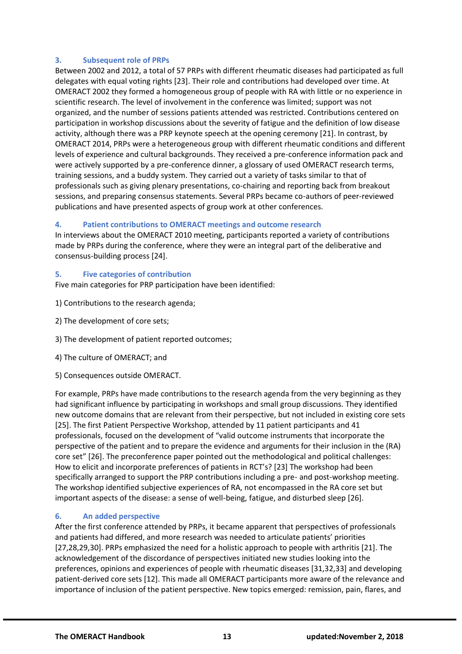# <span id="page-12-0"></span>**3. Subsequent role of PRPs**

Between 2002 and 2012, a total of 57 PRPs with different rheumatic diseases had participated as full delegates with equal voting rights [23]. Their role and contributions had developed over time. At OMERACT 2002 they formed a homogeneous group of people with RA with little or no experience in scientific research. The level of involvement in the conference was limited; support was not organized, and the number of sessions patients attended was restricted. Contributions centered on participation in workshop discussions about the severity of fatigue and the definition of low disease activity, although there was a PRP keynote speech at the opening ceremony [21]. In contrast, by OMERACT 2014, PRPs were a heterogeneous group with different rheumatic conditions and different levels of experience and cultural backgrounds. They received a pre-conference information pack and were actively supported by a pre-conference dinner, a glossary of used OMERACT research terms, training sessions, and a buddy system. They carried out a variety of tasks similar to that of professionals such as giving plenary presentations, co-chairing and reporting back from breakout sessions, and preparing consensus statements. Several PRPs became co-authors of peer-reviewed publications and have presented aspects of group work at other conferences.

# <span id="page-12-1"></span>**4. Patient contributions to OMERACT meetings and outcome research**

In interviews about the OMERACT 2010 meeting, participants reported a variety of contributions made by PRPs during the conference, where they were an integral part of the deliberative and consensus-building process [24].

# <span id="page-12-2"></span>**5. Five categories of contribution**

Five main categories for PRP participation have been identified:

- 1) Contributions to the research agenda;
- 2) The development of core sets;
- 3) The development of patient reported outcomes;
- 4) The culture of OMERACT; and
- 5) Consequences outside OMERACT.

For example, PRPs have made contributions to the research agenda from the very beginning as they had significant influence by participating in workshops and small group discussions. They identified new outcome domains that are relevant from their perspective, but not included in existing core sets [25]. The first Patient Perspective Workshop, attended by 11 patient participants and 41 professionals, focused on the development of "valid outcome instruments that incorporate the perspective of the patient and to prepare the evidence and arguments for their inclusion in the (RA) core set" [26]. The preconference paper pointed out the methodological and political challenges: How to elicit and incorporate preferences of patients in RCT's? [23] The workshop had been specifically arranged to support the PRP contributions including a pre- and post-workshop meeting. The workshop identified subjective experiences of RA, not encompassed in the RA core set but important aspects of the disease: a sense of well-being, fatigue, and disturbed sleep [26].

# <span id="page-12-3"></span>**6. An added perspective**

After the first conference attended by PRPs, it became apparent that perspectives of professionals and patients had differed, and more research was needed to articulate patients' priorities [27,28,29,30]. PRPs emphasized the need for a holistic approach to people with arthritis [21]. The acknowledgement of the discordance of perspectives initiated new studies looking into the preferences, opinions and experiences of people with rheumatic diseases [31,32,33] and developing patient-derived core sets [12]. This made all OMERACT participants more aware of the relevance and importance of inclusion of the patient perspective. New topics emerged: remission, pain, flares, and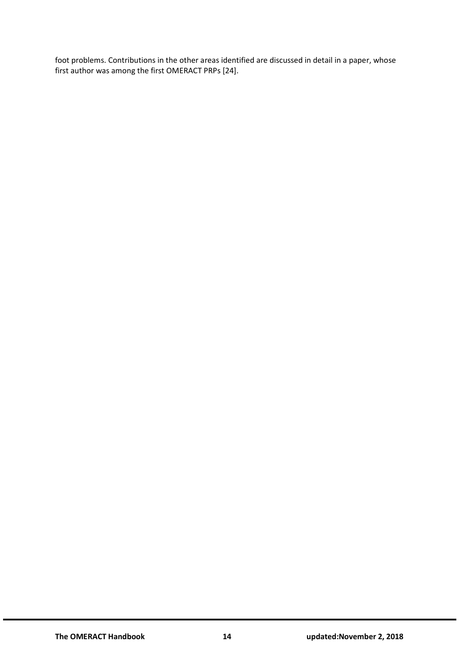foot problems. Contributions in the other areas identified are discussed in detail in a paper, whose first author was among the first OMERACT PRPs [24].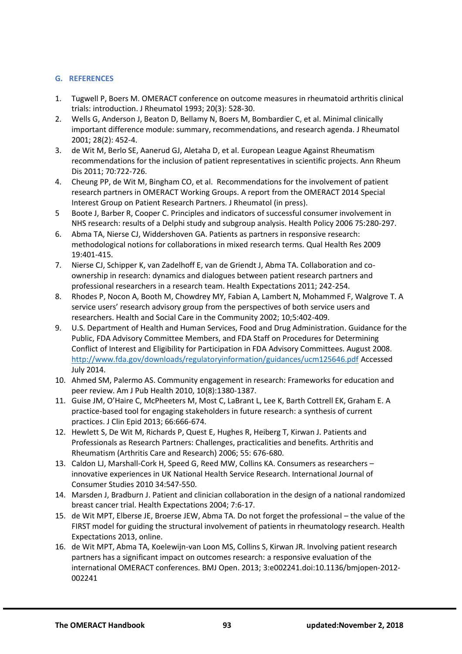# <span id="page-14-0"></span>**G. REFERENCES**

- 1. Tugwell P, Boers M. OMERACT conference on outcome measures in rheumatoid arthritis clinical trials: introduction. J Rheumatol 1993; 20(3): 528-30.
- 2. Wells G, Anderson J, Beaton D, Bellamy N, Boers M, Bombardier C, et al. Minimal clinically important difference module: summary, recommendations, and research agenda. J Rheumatol 2001; 28(2): 452-4.
- 3. de Wit M, Berlo SE, Aanerud GJ, Aletaha D, et al. European League Against Rheumatism recommendations for the inclusion of patient representatives in scientific projects. Ann Rheum Dis 2011; 70:722-726.
- 4. Cheung PP, de Wit M, Bingham CO, et al. Recommendations for the involvement of patient research partners in OMERACT Working Groups. A report from the OMERACT 2014 Special Interest Group on Patient Research Partners. J Rheumatol (in press).
- 5 Boote J, Barber R, Cooper C. Principles and indicators of successful consumer involvement in NHS research: results of a Delphi study and subgroup analysis. Health Policy 2006 75:280-297.
- 6. Abma TA, Nierse CJ, Widdershoven GA. Patients as partners in responsive research: methodological notions for collaborations in mixed research terms. Qual Health Res 2009 19:401-415.
- 7. Nierse CJ, Schipper K, van Zadelhoff E, van de Griendt J, Abma TA. Collaboration and coownership in research: dynamics and dialogues between patient research partners and professional researchers in a research team. Health Expectations 2011; 242-254.
- 8. Rhodes P, Nocon A, Booth M, Chowdrey MY, Fabian A, Lambert N, Mohammed F, Walgrove T. A service users' research advisory group from the perspectives of both service users and researchers. Health and Social Care in the Community 2002; 10;5:402-409.
- 9. U.S. Department of Health and Human Services, Food and Drug Administration. Guidance for the Public, FDA Advisory Committee Members, and FDA Staff on Procedures for Determining Conflict of Interest and Eligibility for Participation in FDA Advisory Committees. August 2008. <http://www.fda.gov/downloads/regulatoryinformation/guidances/ucm125646.pdf> Accessed July 2014.
- 10. Ahmed SM, Palermo AS. Community engagement in research: Frameworks for education and peer review. Am J Pub Health 2010, 10(8):1380-1387.
- 11. Guise JM, O'Haire C, McPheeters M, Most C, LaBrant L, Lee K, Barth Cottrell EK, Graham E. A practice-based tool for engaging stakeholders in future research: a synthesis of current practices. J Clin Epid 2013; 66:666-674.
- 12. Hewlett S, De Wit M, Richards P, Quest E, Hughes R, Heiberg T, Kirwan J. Patients and Professionals as Research Partners: Challenges, practicalities and benefits. Arthritis and Rheumatism (Arthritis Care and Research) 2006; 55: 676-680.
- 13. Caldon LJ, Marshall-Cork H, Speed G, Reed MW, Collins KA. Consumers as researchers innovative experiences in UK National Health Service Research. International Journal of Consumer Studies 2010 34:547-550.
- 14. Marsden J, Bradburn J. Patient and clinician collaboration in the design of a national randomized breast cancer trial. Health Expectations 2004; 7:6-17.
- 15. de Wit MPT, Elberse JE, Broerse JEW, Abma TA. Do not forget the professional the value of the FIRST model for guiding the structural involvement of patients in rheumatology research. Health Expectations 2013, online.
- 16. de Wit MPT, Abma TA, Koelewijn-van Loon MS, Collins S, Kirwan JR. Involving patient research partners has a significant impact on outcomes research: a responsive evaluation of the international OMERACT conferences. BMJ Open. 2013; 3:e002241.doi:10.1136/bmjopen-2012- 002241